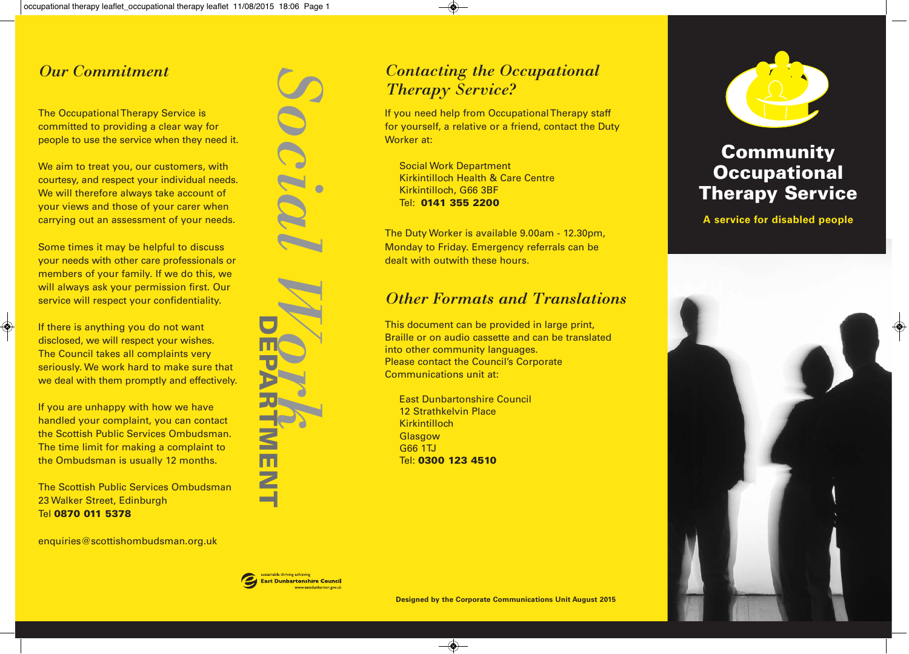#### *Our Commitment*

The Occupational Therapy Service is committed to providing a clear way for people to use the service when they need it.

We aim to treat you, our customers, with courtesy, and respect your individual needs. We will therefore always take account of your views and those of your carer when carrying out an assessment of your needs.

Some times it may be helpful to discuss your needs with other care professionals or members of your family. If we do this, we will always ask your permission first. Our service will respect your confidentiality.

If there is anything you do not want disclosed, we will respect your wishes. The Council takes all complaints very seriously. We work hard to make sure that we deal with them promptly and effectively.

If you are unhappy with how we have handled your complaint, you can contact the Scottish Public Services Ombudsman. The time limit for making a complaint to the Ombudsman is usually 12 months.

The Scottish Public Services Ombudsman 23 Walker Street, Edinburgh Tel **0870 011 5378**

enquiries@scottishombudsman.org.uk



#### *Contacting the Occupational Therapy Service?*

If you need help from Occupational Therapy staff for yourself, a relative or a friend, contact the Duty Worker at:

Social Work Department Kirkintilloch Health & Care Centre Kirkintilloch, G66 3BF Tel: **0141 355 2200**

The Duty Worker is available 9.00am - 12.30pm, Monday to Friday. Emergency referrals can be dealt with outwith these hours.

#### *Other Formats and Translations*

This document can be provided in large print, Braille or on audio cassette and can be translated into other community languages. Please contact the Council's Corporate Communications unit at:

East Dunbartonshire Council 12 Strathkelvin Place **Kirkintilloch Glasgow** G66 1TJ Tel: **0300 123 4510**



## **Community Occupational Therapy Service**

**A service for disabled people**